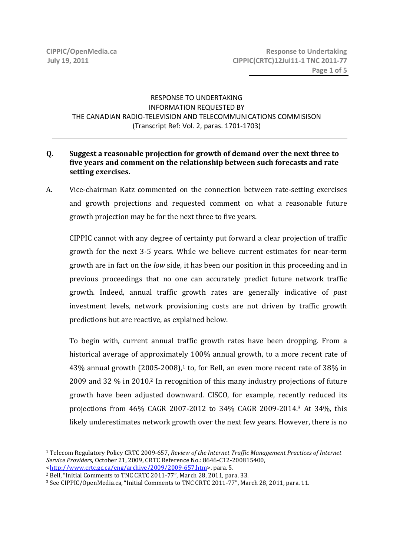## RESPONSE TO UNDERTAKING INFORMATION REQUESTED BY THE CANADIAN RADIO-TELEVISION AND TELECOMMUNICATIONS COMMISISON (Transcript Ref: Vol. 2, paras. 1701-1703)

 $\overline{a}$ 

## **Q. Suggest a reasonable projection for growth of demand over the next three to five years and comment on the relationship between such forecasts and rate setting exercises.**

A. Vice-chairman Katz commented on the connection between rate-setting exercises and growth projections and requested comment on what a reasonable future growth projection may be for the next three to five years.

CIPPIC cannot with any degree of certainty put forward a clear projection of traffic growth for the next 3-5 years. While we believe current estimates for near-term growth are in fact on the *low* side, it has been our position in this proceeding and in previous proceedings that no one can accurately predict future network traffic growth. Indeed, annual traffic growth rates are generally indicative of *past*  investment levels, network provisioning costs are not driven by traffic growth predictions but are reactive, as explained below.

To begin with, current annual traffic growth rates have been dropping. From a historical average of approximately 100% annual growth, to a more recent rate of 43% annual growth  $(2005{\text -}2008)$ ,<sup>1</sup> to, for Bell, an even more recent rate of 38% in 2009 and 32 % in 2010.2 In recognition of this many industry projections of future growth have been adjusted downward. CISCO, for example, recently reduced its projections from 46% CAGR 2007-2012 to 34% CAGR 2009-2014.3 At 34%, this likely underestimates network growth over the next few years. However, there is no

-

<sup>1</sup> Telecom Regulatory Policy CRTC 2009-657, *Review of the Internet Traffic Management Practices of Internet Service Providers*, October 21, 2009, CRTC Reference No.: 8646-C12-200815400, <http://www.crtc.gc.ca/eng/archive/2009/2009-657.htm>, para. 5.

<sup>2</sup> Bell, "Initial Comments to TNC CRTC 2011-77", March 28, 2011, para. 33.

<sup>3</sup> See CIPPIC/OpenMedia.ca, "Initial Comments to TNC CRTC 2011-77", March 28, 2011, para. 11.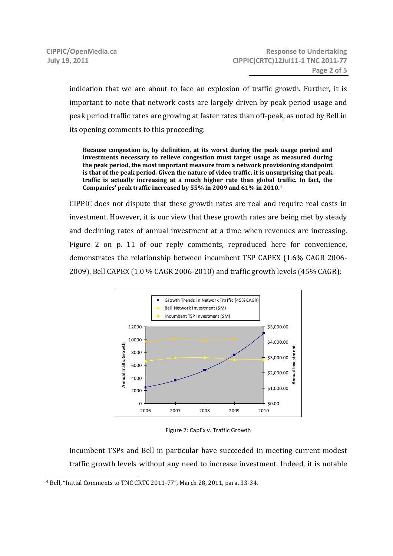indication that we are about to face an explosion of traffic growth. Further, it is important to note that network costs are largely driven by peak period usage and peak period traffic rates are growing at faster rates than off-peak, as noted by Bell in its opening comments to this proceeding:

**Because congestion is, by definition, at its worst during the peak usage period and investments necessary to relieve congestion must target usage as measured during the peak period, the most important measure from a network provisioning standpoint is that of the peak period. Given the nature of video traffic, it is unsurprising that peak traffic is actually increasing at a much higher rate than global traffic. In fact, the Companies' peak traffic increased by 55% in 2009 and 61% in 2010.<sup>4</sup>**

CIPPIC does not dispute that these growth rates are real and require real costs in investment. However, it is our view that these growth rates are being met by steady and declining rates of annual investment at a time when revenues are increasing. Figure 2 on p. 11 of our reply comments, reproduced here for convenience, demonstrates the relationship between incumbent TSP CAPEX (1.6% CAGR 2006- 2009), Bell CAPEX (1.0 % CAGR 2006-2010) and traffic growth levels (45% CAGR):



Figure 2: CapEx v. Traffic Growth

Incumbent TSPs and Bell in particular have succeeded in meeting current modest traffic growth levels without any need to increase investment. Indeed, it is notable

<sup>-</sup>4 Bell, "Initial Comments to TNC CRTC 2011-77", March 28, 2011, para. 33-34.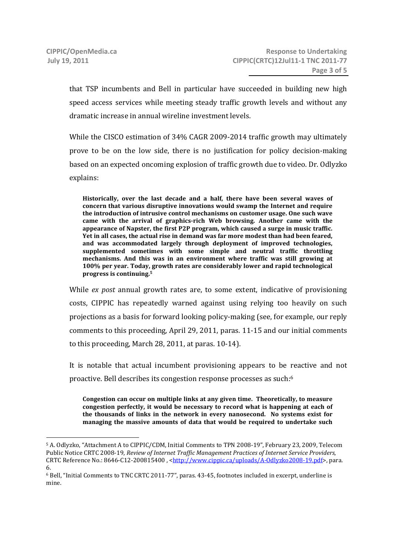-

that TSP incumbents and Bell in particular have succeeded in building new high speed access services while meeting steady traffic growth levels and without any dramatic increase in annual wireline investment levels.

While the CISCO estimation of 34% CAGR 2009-2014 traffic growth may ultimately prove to be on the low side, there is no justification for policy decision-making based on an expected oncoming explosion of traffic growth due to video. Dr. Odlyzko explains:

**Historically, over the last decade and a half, there have been several waves of concern that various disruptive innovations would swamp the Internet and require the introduction of intrusive control mechanisms on customer usage. One such wave came with the arrival of graphics-rich Web browsing. Another came with the appearance of Napster, the first P2P program, which caused a surge in music traffic. Yet in all cases, the actual rise in demand was far more modest than had been feared, and was accommodated largely through deployment of improved technologies, supplemented sometimes with some simple and neutral traffic throttling mechanisms. And this was in an environment where traffic was still growing at 100% per year. Today, growth rates are considerably lower and rapid technological progress is continuing.<sup>5</sup>**

While *ex post* annual growth rates are, to some extent, indicative of provisioning costs, CIPPIC has repeatedly warned against using relying too heavily on such projections as a basis for forward looking policy-making (see, for example, our reply comments to this proceeding, April 29, 2011, paras. 11-15 and our initial comments to this proceeding, March 28, 2011, at paras. 10-14).

It is notable that actual incumbent provisioning appears to be reactive and not proactive. Bell describes its congestion response processes as such:<sup>6</sup>

**Congestion can occur on multiple links at any given time. Theoretically, to measure congestion perfectly, it would be necessary to record what is happening at each of the thousands of links in the network in every nanosecond. No systems exist for managing the massive amounts of data that would be required to undertake such** 

<sup>5</sup> A. Odlyzko, "Attachment A to CIPPIC/CDM, Initial Comments to TPN 2008-19", February 23, 2009, Telecom Public Notice CRTC 2008-19, *Review of Internet Traffic Management Practices of Internet Service Providers*, CRTC Reference No.: 8646-C12-200815400, <http://www.cippic.ca/uploads/A-Odlyzko2008-19.pdf>, para. 6.

<sup>6</sup> Bell, "Initial Comments to TNC CRTC 2011-77", paras. 43-45, footnotes included in excerpt, underline is mine.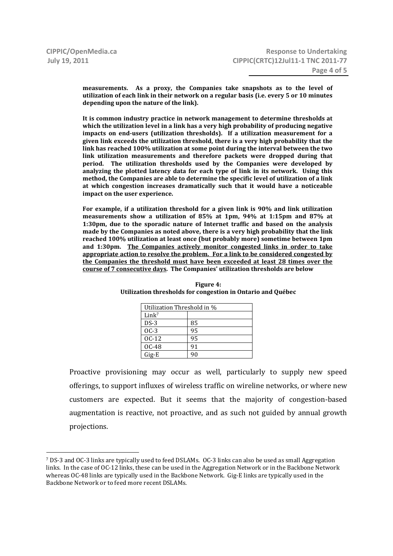-

**measurements. As a proxy, the Companies take snapshots as to the level of utilization of each link in their network on a regular basis (i.e. every 5 or 10 minutes depending upon the nature of the link).** 

**It is common industry practice in network management to determine thresholds at which the utilization level in a link has a very high probability of producing negative impacts on end-users (utilization thresholds). If a utilization measurement for a given link exceeds the utilization threshold, there is a very high probability that the link has reached 100% utilization at some point during the interval between the two link utilization measurements and therefore packets were dropped during that period. The utilization thresholds used by the Companies were developed by analyzing the plotted latency data for each type of link in its network. Using this method, the Companies are able to determine the specific level of utilization of a link at which congestion increases dramatically such that it would have a noticeable impact on the user experience.** 

**For example, if a utilization threshold for a given link is 90% and link utilization measurements show a utilization of 85% at 1pm, 94% at 1:15pm and 87% at 1:30pm, due to the sporadic nature of Internet traffic and based on the analysis made by the Companies as noted above, there is a very high probability that the link reached 100% utilization at least once (but probably more) sometime between 1pm and 1:30pm. The Companies actively monitor congested links in order to take appropriate action to resolve the problem. For a link to be considered congested by the Companies the threshold must have been exceeded at least 28 times over the course of 7 consecutive days. The Companies' utilization thresholds are below** 

| Utilization Threshold in % |    |
|----------------------------|----|
| Link <sup>7</sup>          |    |
| $DS-3$                     | 85 |
| $OC-3$                     | 95 |
| $OC-12$                    | 95 |
| OC-48                      | 91 |
| $Gig-E$                    | ۹Λ |

| Figure 4:                                                   |
|-------------------------------------------------------------|
| Utilization thresholds for congestion in Ontario and Québec |

Proactive provisioning may occur as well, particularly to supply new speed offerings, to support influxes of wireless traffic on wireline networks, or where new customers are expected. But it seems that the majority of congestion-based augmentation is reactive, not proactive, and as such not guided by annual growth projections.

<sup>7</sup> DS-3 and OC-3 links are typically used to feed DSLAMs. OC-3 links can also be used as small Aggregation links. In the case of OC-12 links, these can be used in the Aggregation Network or in the Backbone Network whereas OC-48 links are typically used in the Backbone Network. Gig-E links are typically used in the Backbone Network or to feed more recent DSLAMs.